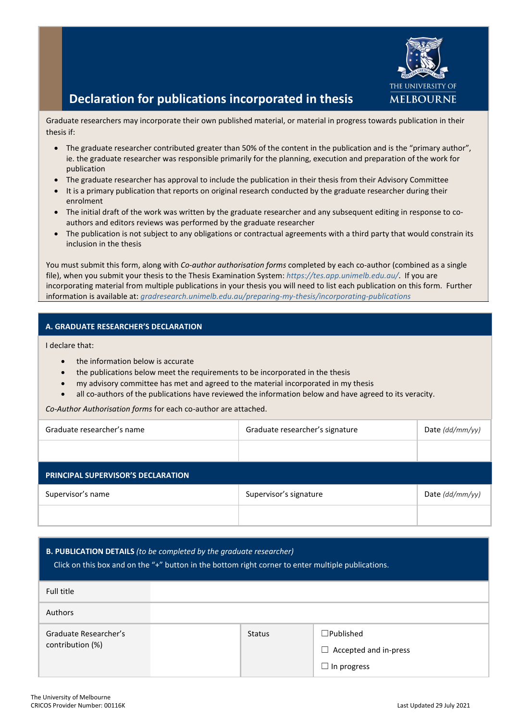

## **Declaration for publications incorporated in thesis**

Graduate researchers may incorporate their own published material, or material in progress towards publication in their thesis if:

- The graduate researcher contributed greater than 50% of the content in the publication and is the "primary author", ie. the graduate researcher was responsible primarily for the planning, execution and preparation of the work for publication
- The graduate researcher has approval to include the publication in their thesis from their Advisory Committee
- It is a primary publication that reports on original research conducted by the graduate researcher during their enrolment
- The initial draft of the work was written by the graduate researcher and any subsequent editing in response to coauthors and editors reviews was performed by the graduate researcher
- The publication is not subject to any obligations or contractual agreements with a third party that would constrain its inclusion in the thesis

You must submit this form, along with *Co-author authorisation forms* completed by each co-author (combined as a single file), when you submit your thesis to the Thesis Examination System: *<https://tes.app.unimelb.edu.au/>*. If you are incorporating material from multiple publications in your thesis you will need to list each publication on this form. Further information is available at: *[gradresearch.unimelb.edu.au/preparing-my-thesis/incorporating-publications](https://gradresearch.unimelb.edu.au/preparing-my-thesis/incorporating-publications)*

## **A. GRADUATE RESEARCHER'S DECLARATION**

I declare that:

- the information below is accurate
- the publications below meet the requirements to be incorporated in the thesis
- my advisory committee has met and agreed to the material incorporated in my thesis
- all co-authors of the publications have reviewed the information below and have agreed to its veracity.

*Co-Author Authorisation forms* for each co-author are attached.

| Graduate researcher's name         | Graduate researcher's signature | Date $(dd/mm/yy)$ |  |  |
|------------------------------------|---------------------------------|-------------------|--|--|
|                                    |                                 |                   |  |  |
| PRINCIPAL SUPERVISOR'S DECLARATION |                                 |                   |  |  |
| Supervisor's name                  | Supervisor's signature          | Date $(dd/mm/yy)$ |  |  |
|                                    |                                 |                   |  |  |

## **B. PUBLICATION DETAILS** *(to be completed by the graduate researcher)*

Click on this box and on the "+" button in the bottom right corner to enter multiple publications.

| Full title                                |               |                                                                           |
|-------------------------------------------|---------------|---------------------------------------------------------------------------|
| Authors                                   |               |                                                                           |
| Graduate Researcher's<br>contribution (%) | <b>Status</b> | $\square$ Published<br>$\Box$ Accepted and in-press<br>$\Box$ In progress |